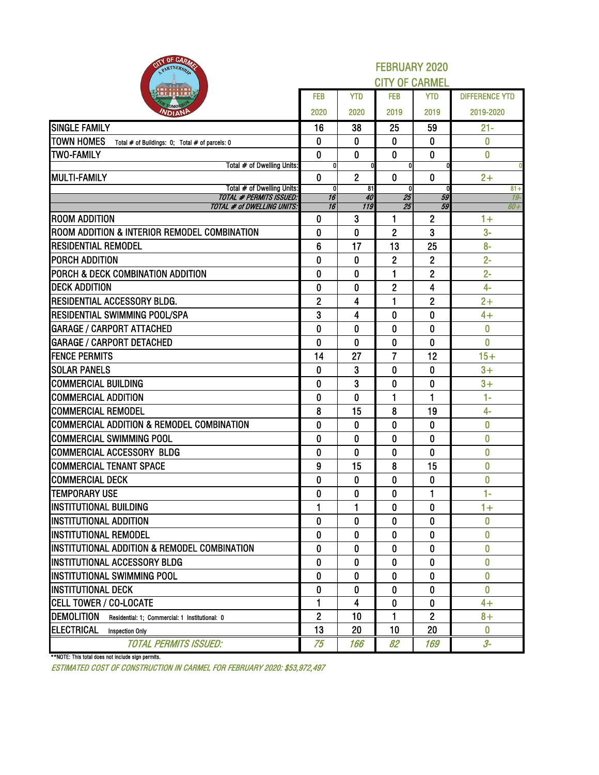| BITY OF CARMIS<br>PARTNERSH                                         | <b>FEBRUARY 2020</b><br><b>CITY OF CARMEL</b> |                |                                 |                |                       |  |  |  |  |  |
|---------------------------------------------------------------------|-----------------------------------------------|----------------|---------------------------------|----------------|-----------------------|--|--|--|--|--|
|                                                                     | <b>FEB</b>                                    | <b>YTD</b>     | <b>FEB</b>                      | <b>YTD</b>     | <b>DIFFERENCE YTD</b> |  |  |  |  |  |
| <b>NDIAN</b>                                                        | 2020                                          | 2020           | 2019                            | 2019           | 2019-2020             |  |  |  |  |  |
| <b>SINGLE FAMILY</b>                                                | 16                                            | 38             | 25                              | 59             | $21 -$                |  |  |  |  |  |
| <b>TOWN HOMES</b><br>Total # of Buildings: 0; Total # of parcels: 0 | 0                                             | 0              | 0                               | $\bf{0}$       | 0                     |  |  |  |  |  |
| <b>TWO-FAMILY</b>                                                   | $\mathbf 0$                                   | $\bf{0}$       | $\bf{0}$                        | $\mathbf{0}$   | $\bf{0}$              |  |  |  |  |  |
| Total # of Dwelling Units:                                          | $\mathbf{0}$                                  |                | $\mathbf{0}$                    |                |                       |  |  |  |  |  |
| <b>MULTI-FAMILY</b>                                                 | 0                                             | $\overline{2}$ | 0                               | $\mathbf{0}$   | $2+$                  |  |  |  |  |  |
| Total # of Dwelling Units:<br><b>TOTAL # PERMITS ISSUED:</b>        | 0<br>$\overline{16}$                          | 81<br>40       | <sub>0</sub><br>$\overline{25}$ | 59             | $81 +$<br>$19-$       |  |  |  |  |  |
| TOTAL # of DWELLING UNITS:                                          | $\overline{16}$                               | 119            | 25                              | 59             | $60+$                 |  |  |  |  |  |
| <b>ROOM ADDITION</b>                                                | 0                                             | 3              | 1                               | $\mathbf{2}$   | $1+$                  |  |  |  |  |  |
| ROOM ADDITION & INTERIOR REMODEL COMBINATION                        | 0                                             | 0              | $\overline{c}$                  | 3              | $3-$                  |  |  |  |  |  |
| <b>RESIDENTIAL REMODEL</b>                                          | 6                                             | 17             | 13                              | 25             | $8-$                  |  |  |  |  |  |
| PORCH ADDITION                                                      | 0                                             | $\bf{0}$       | $\overline{c}$                  | $\mathbf{2}$   | $2 -$                 |  |  |  |  |  |
| PORCH & DECK COMBINATION ADDITION                                   | 0                                             | 0              | 1                               | $\overline{c}$ | $2 -$                 |  |  |  |  |  |
| <b>DECK ADDITION</b>                                                | 0                                             | $\bf{0}$       | $\overline{2}$                  | 4              | $4-$                  |  |  |  |  |  |
| RESIDENTIAL ACCESSORY BLDG.                                         | $\overline{2}$                                | 4              | 1                               | $\overline{2}$ | $2+$                  |  |  |  |  |  |
| RESIDENTIAL SWIMMING POOL/SPA                                       | 3                                             | 4              | $\mathbf 0$                     | $\bf{0}$       | $4+$                  |  |  |  |  |  |
| <b>GARAGE / CARPORT ATTACHED</b>                                    | 0                                             | 0              | 0                               | $\bf{0}$       | 0                     |  |  |  |  |  |
| <b>GARAGE / CARPORT DETACHED</b>                                    | 0                                             | 0              | 0                               | $\mathbf{0}$   | $\bf{0}$              |  |  |  |  |  |
| <b>FENCE PERMITS</b>                                                | 14                                            | 27             | $\overline{7}$                  | 12             | $15+$                 |  |  |  |  |  |
| <b>SOLAR PANELS</b>                                                 | 0                                             | 3              | 0                               | 0              | $3+$                  |  |  |  |  |  |
| <b>COMMERCIAL BUILDING</b>                                          | 0                                             | 3              | $\bf{0}$                        | $\bf{0}$       | $3+$                  |  |  |  |  |  |
| <b>COMMERCIAL ADDITION</b>                                          | 0                                             | $\bf{0}$       | 1                               | $\mathbf{1}$   | $1 -$                 |  |  |  |  |  |
| <b>COMMERCIAL REMODEL</b>                                           | 8                                             | 15             | 8                               | 19             | $4-$                  |  |  |  |  |  |
| <b>COMMERCIAL ADDITION &amp; REMODEL COMBINATION</b>                | 0                                             | 0              | 0                               | $\bf{0}$       | $\overline{0}$        |  |  |  |  |  |
| COMMERCIAL SWIMMING POOL                                            | 0                                             | 0              | 0                               | $\bf{0}$       | $\bf{0}$              |  |  |  |  |  |
| <b>COMMERCIAL ACCESSORY BLDG</b>                                    | 0                                             | $\bf{0}$       | 0                               | $\bf{0}$       | 0                     |  |  |  |  |  |
| <b>COMMERCIAL TENANT SPACE</b>                                      | 9                                             | 15             | 8                               | 15             | $\bf{0}$              |  |  |  |  |  |
| <b>COMMERCIAL DECK</b>                                              | 0                                             | $\bf{0}$       | 0                               | $\bf{0}$       | 0                     |  |  |  |  |  |
| <b>TEMPORARY USE</b>                                                | $\pmb{0}$                                     | $\pmb{0}$      | $\pmb{0}$                       | 1              | $1-$                  |  |  |  |  |  |
| <b>INSTITUTIONAL BUILDING</b>                                       | 1                                             | 1              | 0                               | $\mathbf{0}$   | $1+$                  |  |  |  |  |  |
| <b>INSTITUTIONAL ADDITION</b>                                       | 0                                             | 0              | 0                               | 0              | $\bf{0}$              |  |  |  |  |  |
| <b>INSTITUTIONAL REMODEL</b>                                        | 0                                             | 0              | 0                               | $\mathbf{0}$   | $\mathbf{0}$          |  |  |  |  |  |
| INSTITUTIONAL ADDITION & REMODEL COMBINATION                        | 0                                             | $\bf{0}$       | 0                               | $\bf{0}$       | $\bf{0}$              |  |  |  |  |  |
| INSTITUTIONAL ACCESSORY BLDG                                        | 0                                             | 0              | 0                               | 0              | 0                     |  |  |  |  |  |
| INSTITUTIONAL SWIMMING POOL                                         | 0                                             | 0              | 0                               | 0              | $\bf{0}$              |  |  |  |  |  |
| <b>INSTITUTIONAL DECK</b>                                           | 0                                             | 0              | $\mathbf 0$                     | $\bf{0}$       | $\bf{0}$              |  |  |  |  |  |
| <b>CELL TOWER / CO-LOCATE</b>                                       | 1                                             | 4              | 0                               | $\bf{0}$       | $4+$                  |  |  |  |  |  |
| <b>DEMOLITION</b><br>Residential: 1: Commercial: 1 Institutional: 0 | $\overline{2}$                                | 10             | 1                               | $\overline{2}$ | $8+$                  |  |  |  |  |  |
| <b>ELECTRICAL</b><br><b>Inspection Only</b>                         | 13                                            | 20             | 10                              | 20             | $\mathbf{0}$          |  |  |  |  |  |
| <b>TOTAL PERMITS ISSUED:</b>                                        | 75                                            | 166            | 82                              | 169            | $3-$                  |  |  |  |  |  |

\*\*NOTE: This total does not include sign permits.

ESTIMATED COST OF CONSTRUCTION IN CARMEL FOR FEBRUARY 2020: \$53,972,497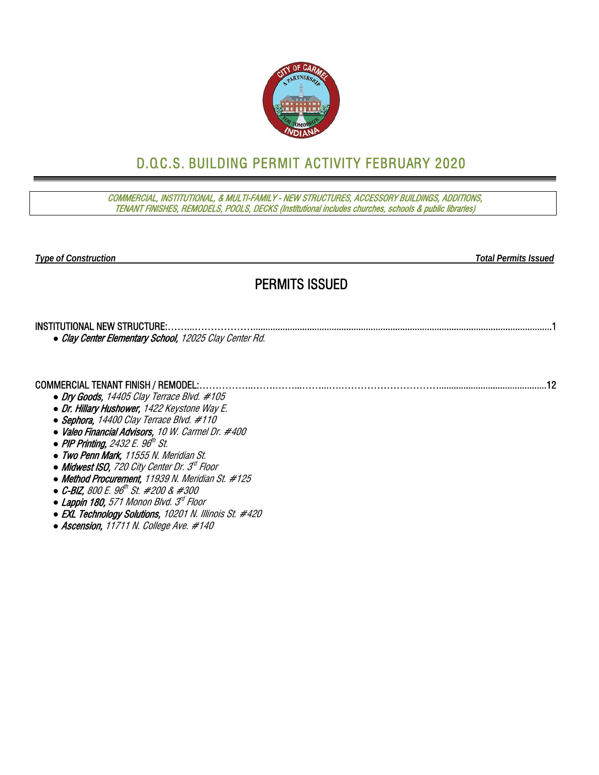

# D.O.C.S. BUILDING PERMIT ACTIVITY FEBRUARY 2020

COMMERCIAL, INSTITUTIONAL, & MULTI-FAMILY - NEW STRUCTURES, ACCESSORY BUILDINGS, ADDITIONS, TENANT FINISHES, REMODELS, POOLS, DECKS (Institutional includes churches, schools & public libraries)

*Type of Construction Total Permits Issued* 

### PERMITS ISSUED

| • Clay Center Elementary School, 12025 Clay Center Rd. |  |
|--------------------------------------------------------|--|

#### COMMERCIAL TENANT FINISH / REMODEL:……………..…….……...……...….…………………………............................................12 *●* Dry Goods, 14405 Clay Terrace Blvd. #105

- *●* Dr. Hillary Hushower, 1422 Keystone Way E.
- *●* Sephora, 14400 Clay Terrace Blvd. #110
- *●* Valeo Financial Advisors, 10 W. Carmel Dr. #400
- *PIP Printing, 2432 E. 96<sup>th</sup> St.*
- *●* Two Penn Mark, 11555 N. Meridian St.
- *Midwest ISO, 720 City Center Dr. 3<sup>d</sup> Floor*
- *●* Method Procurement, 11939 N. Meridian St. #125
- *●* C-BIZ, 800 E. 96th St. #200 & #300
- *●* Lappin 180, 571 Monon Blvd. 3rd Floor
- *●* EXL Technology Solutions, 10201 N. Illinois St. #420
- *●* Ascension, 11711 N. College Ave. #140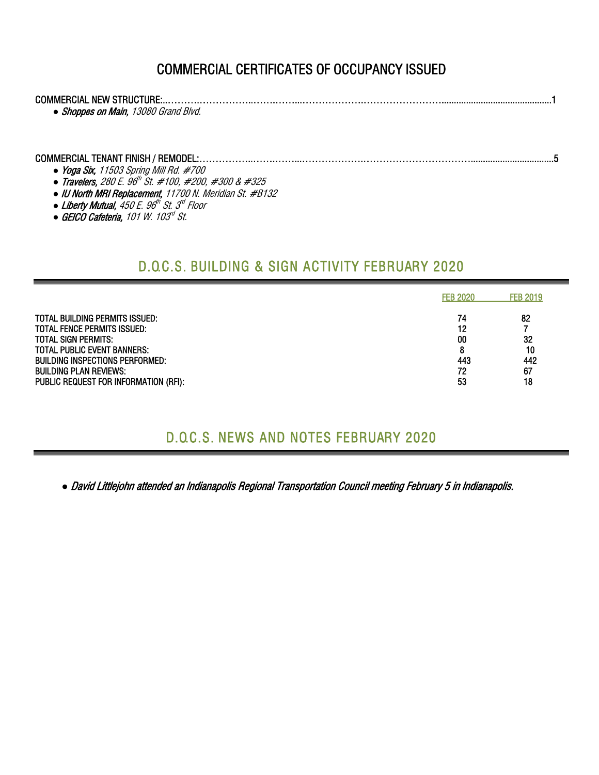# COMMERCIAL CERTIFICATES OF OCCUPANCY ISSUED

| • Shoppes on Main, 13080 Grand Blvd.   |  |
|----------------------------------------|--|
| • Yoga Six, 11503 Spring Mill Rd. #700 |  |

- *●* Travelers, 280 E. 96th St. #100, #200, #300 & #325
- *●* IU North MRI Replacement, 11700 N. Meridian St. #B132
- Liberty Mutual, 450 E. 96<sup>th</sup> St. 3<sup>d</sup> Floor
- *●* GEICO Cafeteria, 101 W. 103rd St.

### D.O.C.S. BUILDING & SIGN ACTIVITY FEBRUARY 2020

|                                                                                                                                                                                                                                                       | <b>FEB 2020</b>                        | <b>FEB 2019</b>                   |
|-------------------------------------------------------------------------------------------------------------------------------------------------------------------------------------------------------------------------------------------------------|----------------------------------------|-----------------------------------|
| <b>TOTAL BUILDING PERMITS ISSUED:</b><br><b>TOTAL FENCE PERMITS ISSUED:</b><br>TOTAL SIGN PERMITS:<br><b>TOTAL PUBLIC EVENT BANNERS:</b><br>BUILDING INSPECTIONS PERFORMED:<br><b>BUILDING PLAN REVIEWS:</b><br>PUBLIC REQUEST FOR INFORMATION (RFI): | 74<br>12<br>00<br>8<br>443<br>72<br>53 | 82<br>32<br>10<br>442<br>67<br>18 |

#### D.O.C.S. NEWS AND NOTES FEBRUARY 2020

*●* David Littlejohn attended an Indianapolis Regional Transportation Council meeting February 5 in Indianapolis.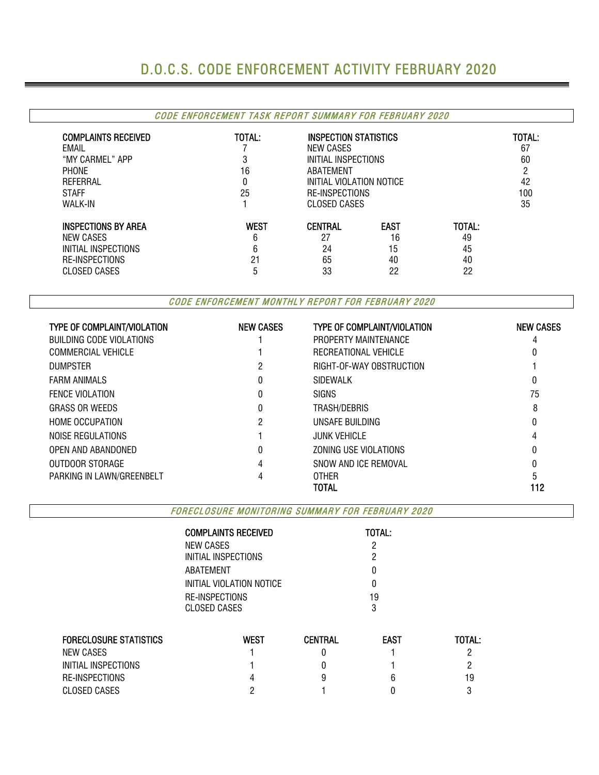# D.O.C.S. CODE ENFORCEMENT ACTIVITY FEBRUARY 2020

#### CODE ENFORCEMENT TASK REPORT SUMMARY FOR FEBRUARY 2020

| <b>COMPLAINTS RECEIVED</b> | TOTAL:                                           | INSPECTION STATISTICS |             |        | TOTAL: |
|----------------------------|--------------------------------------------------|-----------------------|-------------|--------|--------|
| EMAIL                      |                                                  | NEW CASES             |             |        | 67     |
| "MY CARMEL" APP            | đ                                                | INITIAL INSPECTIONS   |             |        | 60     |
| PHONE                      | 16<br>ABATEMENT<br>INITIAL VIOLATION NOTICE<br>0 |                       |             |        |        |
| REFERRAL                   |                                                  |                       |             |        | 42     |
| <b>STAFF</b>               | 25                                               | <b>RE-INSPECTIONS</b> |             |        | 100    |
| <b>WALK-IN</b>             |                                                  | CLOSED CASES          |             |        | 35     |
| <b>INSPECTIONS BY AREA</b> | <b>WEST</b>                                      | <b>CENTRAL</b>        | <b>EAST</b> | TOTAL: |        |
| NEW CASES                  | 6                                                | 27                    | 16          | 49     |        |
| INITIAL INSPECTIONS        | 6                                                | 24                    | 15          | 45     |        |
| RE-INSPECTIONS             | 21                                               | 65                    | 40          | 40     |        |
| <b>CLOSED CASES</b>        | b                                                | 33                    | 22          | 22     |        |

CODE ENFORCEMENT MONTHLY REPORT FOR FEBRUARY 2020

| <b>TYPE OF COMPLAINT/VIOLATION</b> | <b>NEW CASES</b> | <b>TYPE OF COMPLAINT/VIOLATION</b> | <b>NEW CASES</b> |
|------------------------------------|------------------|------------------------------------|------------------|
| <b>BUILDING CODE VIOLATIONS</b>    |                  | PROPERTY MAINTENANCE               |                  |
| <b>COMMERCIAL VEHICLE</b>          |                  | RECREATIONAL VEHICLE               |                  |
| <b>DUMPSTER</b>                    |                  | RIGHT-OF-WAY OBSTRUCTION           |                  |
| <b>FARM ANIMALS</b>                | 0                | SIDEWALK                           |                  |
| <b>FENCE VIOLATION</b>             | 0                | <b>SIGNS</b>                       | 75               |
| <b>GRASS OR WEEDS</b>              | 0                | TRASH/DEBRIS                       | 8                |
| <b>HOME OCCUPATION</b>             | 2                | UNSAFE BUILDING                    |                  |
| NOISE REGULATIONS                  |                  | <b>JUNK VEHICLE</b>                | 4                |
| OPEN AND ABANDONED                 | 0                | ZONING USE VIOLATIONS              |                  |
| OUTDOOR STORAGE                    | 4                | SNOW AND ICE REMOVAL               |                  |
| PARKING IN LAWN/GREENBELT          |                  | 0THFR                              |                  |
|                                    |                  | TOTAL                              | 112              |

FORECLOSURE MONITORING SUMMARY FOR FEBRUARY 2020

|                               | <b>COMPLAINTS RECEIVED</b> |                | TOTAL:      |        |  |  |  |  |
|-------------------------------|----------------------------|----------------|-------------|--------|--|--|--|--|
|                               | NEW CASES                  |                |             |        |  |  |  |  |
|                               | INITIAL INSPECTIONS        |                |             |        |  |  |  |  |
|                               | ABATEMENT                  |                |             |        |  |  |  |  |
|                               | INITIAL VIOLATION NOTICE   |                |             |        |  |  |  |  |
|                               | RE-INSPECTIONS             | 19             |             |        |  |  |  |  |
|                               | <b>CLOSED CASES</b>        |                |             |        |  |  |  |  |
| <b>FORECLOSURE STATISTICS</b> | <b>WEST</b>                | <b>CENTRAL</b> | <b>EAST</b> | TOTAL: |  |  |  |  |
| <b>NEW CASES</b>              |                            | O              |             |        |  |  |  |  |
| INITIAL INSPECTIONS           |                            |                |             | っ      |  |  |  |  |
| RE-INSPECTIONS                |                            | 9              | h           | 19     |  |  |  |  |
| <b>CLOSED CASES</b>           |                            |                |             | 3      |  |  |  |  |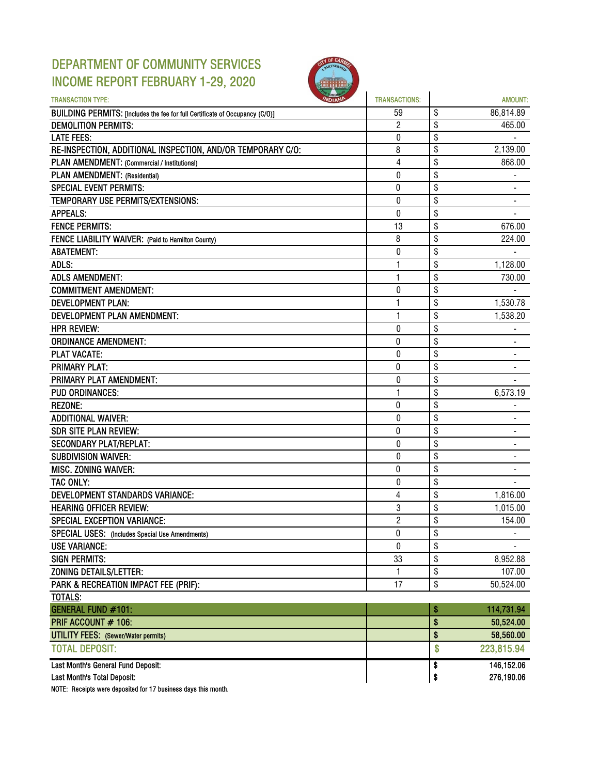### DEPARTMENT OF COMMUNITY SERVICES INCOME REPORT FEBRUARY 1-29, 2020



| <b>TRANSACTION TYPE:</b>                                                     | <b>TRANSACTIONS:</b> | AMOUNT:                            |
|------------------------------------------------------------------------------|----------------------|------------------------------------|
| BUILDING PERMITS: [Includes the fee for full Certificate of Occupancy (C/O)] | 59                   | \$<br>86,814.89                    |
| <b>DEMOLITION PERMITS:</b>                                                   | $\overline{c}$       | \$<br>465.00                       |
| <b>LATE FEES:</b>                                                            | 0                    | \$                                 |
| RE-INSPECTION, ADDITIONAL INSPECTION, AND/OR TEMPORARY C/O:                  | 8                    | \$<br>2,139.00                     |
| PLAN AMENDMENT: (Commercial / Institutional)                                 | $\overline{4}$       | \$<br>868.00                       |
| PLAN AMENDMENT: (Residential)                                                | 0                    | \$                                 |
| <b>SPECIAL EVENT PERMITS:</b>                                                | 0                    | \$                                 |
| TEMPORARY USE PERMITS/EXTENSIONS:                                            | 0                    | \$<br>$\blacksquare$               |
| <b>APPEALS:</b>                                                              | $\bf{0}$             | \$                                 |
| <b>FENCE PERMITS:</b>                                                        | 13                   | \$<br>676.00                       |
| FENCE LIABILITY WAIVER: (Paid to Hamilton County)                            | 8                    | \$<br>224.00                       |
| <b>ABATEMENT:</b>                                                            | 0                    | \$                                 |
| ADLS:                                                                        | 1                    | \$<br>1,128.00                     |
| <b>ADLS AMENDMENT:</b>                                                       | 1                    | \$<br>730.00                       |
| <b>COMMITMENT AMENDMENT:</b>                                                 | 0                    | \$                                 |
| <b>DEVELOPMENT PLAN:</b>                                                     | 1                    | \$<br>1,530.78                     |
| DEVELOPMENT PLAN AMENDMENT:                                                  | 1                    | \$<br>1,538.20                     |
| <b>HPR REVIEW:</b>                                                           | 0                    | \$                                 |
| <b>ORDINANCE AMENDMENT:</b>                                                  | 0                    | \$                                 |
| <b>PLAT VACATE:</b>                                                          | 0                    | \$                                 |
| <b>PRIMARY PLAT:</b>                                                         | 0                    | \$                                 |
| <b>PRIMARY PLAT AMENDMENT:</b>                                               | 0                    | \$                                 |
| <b>PUD ORDINANCES:</b>                                                       | 1                    | \$<br>6,573.19                     |
| <b>REZONE:</b>                                                               | 0                    | \$                                 |
| <b>ADDITIONAL WAIVER:</b>                                                    | 0                    | \$                                 |
| <b>SDR SITE PLAN REVIEW:</b>                                                 | $\pmb{0}$            | \$                                 |
| <b>SECONDARY PLAT/REPLAT:</b>                                                | 0                    | \$<br>$\blacksquare$               |
| <b>SUBDIVISION WAIVER:</b>                                                   | 0                    | \$                                 |
| MISC. ZONING WAIVER:                                                         | 0                    | \$                                 |
| TAC ONLY:                                                                    | 0                    | \$                                 |
| <b>DEVELOPMENT STANDARDS VARIANCE:</b>                                       | $\overline{4}$       | \$<br>1,816.00                     |
| <b>HEARING OFFICER REVIEW:</b>                                               | 3                    | \$<br>1,015.00                     |
| <b>SPECIAL EXCEPTION VARIANCE:</b>                                           | $\overline{c}$       | \$<br>154.00                       |
| SPECIAL USES: (Includes Special Use Amendments)                              | 0                    | \$<br>$\qquad \qquad \blacksquare$ |
| <b>USE VARIANCE:</b>                                                         | $\overline{0}$       | \$                                 |
| <b>SIGN PERMITS:</b>                                                         | 33                   | \$<br>8,952.88                     |
| ZONING DETAILS/LETTER:                                                       | 1                    | \$<br>107.00                       |
|                                                                              | 17                   | \$<br>50,524.00                    |
| PARK & RECREATION IMPACT FEE (PRIF):<br>TOTALS:                              |                      |                                    |
| <b>GENERAL FUND #101:</b>                                                    |                      | \$<br>114,731.94                   |
| PRIF ACCOUNT # 106:                                                          |                      | \$<br>50,524.00                    |
| <b>UTILITY FEES:</b> (Sewer/Water permits)                                   |                      | \$<br>58,560.00                    |
| <b>TOTAL DEPOSIT:</b>                                                        |                      |                                    |
|                                                                              |                      | \$<br>223,815.94                   |
| Last Month's General Fund Deposit:                                           |                      | \$<br>146,152.06                   |
| Last Month's Total Deposit:                                                  |                      | \$<br>276,190.06                   |

NOTE: Receipts were deposited for 17 business days this month.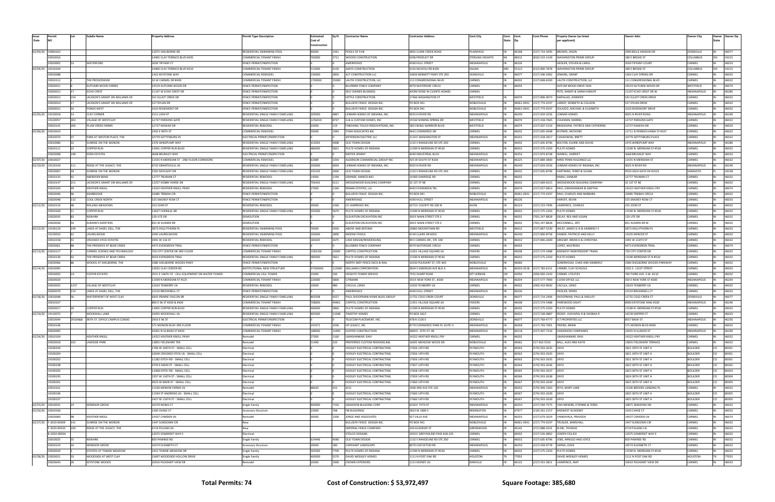|          |                       |      | ubdiv Name                           | 'roperty Address                                | <b>Permit Type Description</b>     | Estimated    | Sa Ft  | <b>Contractor Name</b>            | Contractor Address            | <b>Cont.City</b><br>Cont. | Cont.      | Cont.Phone<br>Propety Owner (as listed           | Owner Adrs                   | Owner Citv          | Owner<br>Owner Zip |
|----------|-----------------------|------|--------------------------------------|-------------------------------------------------|------------------------------------|--------------|--------|-----------------------------------|-------------------------------|---------------------------|------------|--------------------------------------------------|------------------------------|---------------------|--------------------|
| Date     |                       |      |                                      |                                                 |                                    | Cost of      |        |                                   |                               | State Zip                 |            | per applicant)                                   |                              |                     |                    |
|          |                       |      |                                      |                                                 |                                    | Construction |        |                                   |                               |                           |            |                                                  |                              |                     |                    |
|          | 02/03/20 19060163     |      |                                      | 12075 SHELBORNE RD                              | RESIDENTIAL SWIMMING POO           | 90000        | L441   | POOLS OF FUN                      | 3891 CLARK CREEK ROAD         | PLAINFIELD                | 46168      | 317) 714-3495<br>BROWN, JASON                    | 2990 BELLE MAISON DF         | ZIONSVILLE          | 46077              |
|          | 20010016              |      |                                      | 14405 CLAY TERRACE BLVD #105                    | OMMERCIAL TENANT FINISH            | 700000       | 3711   | WOODS CONSTRUCTION                | 5396 PRODUCT DR               | STERLING HEIGHTS          | 48312      | (810) 533-2149<br><b>WASHINGTON PRIME GROUP</b>  | 180 E BROAD ST               | <b>COLUMBUS</b>     | 43215              |
|          | 20020002              |      | WATERFORD                            | 3039 TIFFANY CT                                 | FENCE PERMIT/INSPECTION            |              |        | AMERIFENCE                        | 4340 HULL STREET              | <b>INDIANAPOLIS</b>       | 46226      | SEISLER, STEVEN & CAROL                          | 3039 TIFFANY COURT           | CARMEL              | 46033              |
| 02/04/20 | 19120104              |      |                                      | 14400 CLAY TERRACE BLVD #110                    | OMMERCIAL TENANT FINISH            | 515000       | 4129   | AXXYS CONSTRUCTION                | 1101 NICHOLS RD #100          | EAGAN<br>1 N              | 55122      | (612) 800-7878<br><b>WASHINGTON PRIME GROUP</b>  | 180 E BROAD ST               | COLUMBUS            | 43215              |
|          | 20010088              |      |                                      | <b>1422 KEYSTONE WAY</b>                        | :OMMERCIAL REMODEL                 | 230000       | 2850   | ALT CONSTRUCTION LLC              | 10650 BENNETT PKWY STE 200    | ZIONSVILLE                | 46077      | 317) 506-2962<br>JENKINS, GRANT                  | 1363 CLAY SPRING DR          | CARMEI              | 46032              |
|          | 20010112              |      | HE PROSCENIUM                        | 10 W CARMEL DR #400                             | OMMERCIAL TENANT FINISH            | 1700000      | 25000  | LAUTH CONSTRUCTION, LLC           | L11 CONGRESSIONAL BLVD        | CARMEL                    | 46032      | LAUTH CONSTRUCTION, LLC<br>317) 848-6500         | 111 CONGRESSIONAL BLVD       | CARMEL              | 46032              |
|          | 20020011              |      | AUTUMN WOOD FARMS                    | 14519 AUTUMN WOOD DR                            | FENCE PERMIT/INSPECTION            |              |        | BLUEBIRD FENCE COMPANY            | 1970 WATERSIDE CIRCLE         | CARMEL                    | 46033      | AUTUM WOOD DRIVE HOA                             | 14519 AUTUMN WOOD DR         | WESTFIELD           | 46074              |
|          | 20020012              |      | ECHO CREST                           | 11107 W ECHO CREST DR                           | FENCE PERMIT/INSPECTION            |              |        | ELF OWNED BUSINESS                | WORK DONE IN CLIENTS HOMES    | CARMEL                    |            | PETE, RANDY & SARAH KNIGHT                       | 11107 ECHO CREST DR W        | <b>INDIANAPOLIS</b> | 46280              |
|          | 20020013              |      | JACKSON'S GRANT ON WILLIAMS CF       | 541 ELLIOT CREEK DR                             | <b>ENCE PERMIT/INSPECTION</b>      |              |        | <b>IITTLE CONSTRUCTION</b>        | 17466 WASHINGTON ST           | WESTFIELD                 | 46074      | (317) 896-9073 MAPALAD, JENNIFER                 | 541 ELLIOT CREEK DRIVE       | CARMEL              | 46032              |
|          | 20020014              |      | JACKSON'S GRANT ON WILLIAMS CR       | 527 DYLAN DR                                    | FENCE PERMIT/INSPECTION            |              |        | ULLSEYE FENCE DESIGN INC          | 20 BOX 941                    | NOBLESVILLE               | 46061-0941 | (317) 774-0197<br>LARKEY, KENNETH & COLLEEN      | 527 DYLAN DRIVI              | CARMFI              | 46032              |
|          | 20020015              |      | PONDS WEST                           | 1010 ROSEMONT DR                                | FENCE PERMIT/INSPECTION            |              |        | <b>BULLSEYE FENCE DESIGN INC.</b> | PO BOX 941                    | NOBLESVILLE               | 46061-0941 | (317) 774-0197<br>SOLAZZO, MICHAEL & ELIZABETH   | 1010 ROSEMONT DRIVE          | CARMEL              | 46032              |
|          | 02/05/20 19120018     |      | CLAY CORNER                          | 1511 LASH ST                                    | RESIDENTIAL SINGLE FAMILY DWELLING | 200000       | 1867   | ENNAR HOMES OF INDIANA, INC.      | 9025 N RIVER RD               | INDIANAPOLI:              | 46240      | 317) 659-3256<br>LENNAR HOMES                    | 9025 N RIVER ROAD            | NDIANAPOLIS         | 46240              |
|          | 19120057              |      | /ILLAGE OF WESTCLAY                  | 12737 PARSONS GATE                              | RESIDENTIAL SINGLE FAMILY DWELLING | 1256419      | 8737   | 5 & G CUSTOM HOMES, INC           | 15530 SHINING SPRING DR       | WESTFIELD                 | 46074      | (317) 418-7665<br><b>COLEMAN, MARKEL</b>         | 12737 PARSONS GATE           | CARMEL              | 46032              |
|          | 20010141              |      | PLUM CREEK FARMS                     | 12727 KIAWAH DR                                 | RESIDENTIAL REMODEL                | 33000        | 119    | FINISHING TOUCH RENOVATIONS, INC  | 580 VIKING WARRIOR BLVD       | WESTFIELD                 | 46074      | 317) 607-5154 BRADSHAW, PATRICK AND CATHERINE    | 12727 KIAWAH DR              | CARMEI              | 46033              |
|          | 02/06/20 20010019     |      |                                      | 2432 E 96TH ST                                  | OMMERCIAL REMODEL                  | 50000        | 1944   | TAIR ASSOCIATES INC               | 9641 COMMERCE DR              | CARMEL                    | 46032      | KISTNER, ANTHONY<br>317) 695-4048                | 11711 N PENNSYLVANIA ST #107 | CARMEL              | 46032              |
|          | 20010070              |      | PARK AT WESTON PLACE, THE            | 10779 GETTYSBURG PL                             | ELECTRICAL PERMIT/INSPECTION       |              |        | EFFERSON ELECTRIC LLC             | 2114 E WASHINGTON ST          | INDIANAPOLI:              | 46201      | (317) 418-3917<br>CZAJKOWSKI, BRETT              | 10779 GETTYSBURG PLACE       | CARMEL              | 46032              |
|          | 20010080              |      | SUNRISE ON THE MONON                 | 1476 WINDPUMP WAY                               | RESIDENTIAL SINGLE FAMILY DWELLING | 419265       | 4008   | OLD TOWN DESIGN                   | 132 S RANGELINE RD STE 200    | CARMEL                    | 46032      |                                                  | 1476 WINDPUMP WAY            | <b>INDIANAPOLIS</b> | 46280              |
|          |                       |      |                                      |                                                 |                                    |              |        |                                   |                               |                           |            | 317) 605-8796<br>BOLTON, ELAINE AND DAVID        |                              | CARMEI              |                    |
|          | 20010111              |      | COPPER RUN                           | 12941 COPPER RUN BLVD                           | RESIDENTIAL SINGLE FAMILY DWELLING | 480000       | 5821   | PULTE HOMES OF INDIANA            | 1590 N MERIDIAN ST #530       | CARMEL                    | 46032      | 317) 575-2350<br><b>PULTE HOMES</b>              | 11590 N. MERIDIAN ST #530    |                     | 46032              |
|          | 20020008              |      | EDEN ESTATES                         | 3668 BRUMLEY WAY                                | LECTRICAL PERMIT/INSPECTION        |              |        | 1ISTER SPARKY                     | 4040 INDUSTRIAL BLVD          | INDIANAPOLI:              | 46254      | 317) 874-8748<br><b>WARKEL, HARRIET</b>          | 3668 BRUMLEY WAY             | CARMEL              | 46033              |
|          | 02/07/20 20010027     |      |                                      | 11555 N MERIDIAN ST - 2ND FLOOR CORRIDORS       | COMMERCIAL REMODEL                 | 62689        | 1354   | ALDERSON COMMERCIAL GROUP INC     | 425 W SOUTH ST #100           | INDIANAPOLIS              | 46225      | MRES PENN HOLDINGS LLC<br>317) 889-3800          | 11555 N MERIDIAN ST          | CARMEL              | 46032              |
| 02/10/20 | 19120144              | 111  | RIDGE AT THE LEGACY, THE             | 6732 GRANTSVILLE LN                             | RESIDENTIAL SINGLE FAMILY DWELLING | 200000       | 5054   | ENNAR HOMES OF INDIANA, INC.      | 9025 N RIVER RD               | INDIANAPOLI:              | 46240      | 317) 659-3256<br>LENNAR HOMES OF INDIANA, INC.   | 9025 N RIVER RD              | INDIANAPOLIS        | 46240              |
|          | 20010067              |      | SUNRISE ON THE MONON                 | 1502 DAYLIGHT DR                                | RESIDENTIAL SINGLE FAMILY DWELLING | 333142       | 2004   | OLD TOWN DESIGN                   | 132 S RANGELINE RD STE 200    | CARMEL                    | 46032      | 317) 605-8796<br>HARTMAN, TERRY & SUSAN          | 9550 HIGH GATE DR #1523      | SARASOTA            | 34238              |
|          | 20010135              |      | ABERDEEN BEND                        | 12777 TRUMAN CT                                 | RESIDENTIAL REMODEL                | 14000        | 1194   | RANDE, MARCELINO                  | 14360 OAKRIDGE RD             | CARMEL                    | 46032      | :AMU, SANKAR                                     | 12777 TRUMAN CT              | CARMEI              | 46032              |
|          | 20010147              |      | JACKSON'S GRANT ON WILLIAMS CR       | 12257 HOBBY HORSE DR                            | RESIDENTIAL SINGLE FAMILY DWELLING | 706342       | 6111   | WEDGEWOOD BUILDING COMPANY        | 32 1ST ST NE                  | CARMEL                    | 46032      | 317) 669-6315 WEDGEWOOD BUILDING COMPANY         | 32 1ST ST NE                 | CARMEL              | 46032              |
|          | 20010169              |      | HEATHER KNOLI                        | 14322 HEATHER KNOLL PKWY                        | RESIDENTIAL REMODEL                | 27000        | 1160   | REMAK ESTATES, LLC                | 4442 EVERGREEN TR             | CARMEL                    | 46074      | 317) 657-6814 RAVI, UMASHANKAR & SARITHA         | 14322 HEATHER KNOLL PK'      | CARMEI              | 46074              |
|          | 20020046              |      | ASHBROOKE                            | 10485 TREBAH CIR                                | FENCE PERMIT/INSPECTION            |              |        | BULLSEYE FENCE DESIGN INC.        | PO BOX 941                    | NOBLESVILLE               | 46061-0941 | (317) 774-0197<br>RAIH, CHARLES AND BARBARA      | 10485 TREBAH CIRCLE          | CARMEI              | 46032              |
|          | 20020048              |      | COOL CREEK NORTH                     | 525 SMOKEY ROW CT                               | <b>FENCE PERMIT/INSPECTION</b>     |              |        | AMERIFENCE                        | 4340 HULL STREET              | INDIANAPOLI:              | 46226      | IARVEY, KEVIN                                    | 525 SMOKEY ROW CT            | CARMEI              | 46033              |
|          | 02/11/20 20010133     |      | ROLLING MEADOWS                      | 232 JOHN ST                                     | RESIDENTIAL REMODEL                | 30000        | 2260   | E LAWRENCE INC.                   | 6273 E COUNTY RD 200 N        | AVON                      | 46123      | 317) 223-7496<br>LAWRENCE, CHARLES               | 232 JOHN ST                  | CARMEL              | 46032              |
|          | 20010160              |      | Copper Run                           | 13027 CHENILLE DR                               | RESIDENTIAL SINGLE FAMILY DWELLING | 505000       | 5674   | PULTE HOMES OF INDIANA            | L1590 N MERIDIAN ST #530      | CARMEL                    | 46032      | 317) 575-2350<br><b>PULTE HOMES</b>              | 11590 N. MERIDIAN ST #530    | CARMEI              | 46032              |
|          | 20020035              |      | <b>NEWARK</b>                        | 120 UTE DR                                      | DEMOLITION                         |              |        | ELEVATION EXCAVATION INQ          | 300 E MAIN STREET STE E       | CARMEL                    | 46032      | 765) 247-8828<br>DELAY, REX AND SUSAN            | 120 UTE DR                   | CARMEI              | 46032              |
|          | 20020036              |      | AUMAN'S ADDITION                     | 831 W AUMAN DR                                  | DEMOLITION                         |              |        | ELEVATION EXCAVATION INC          | 300 E MAIN STREET STE E       | CARMEL                    | 46032      | 765) 247-8828<br>MCCONNELL, JEFF                 | 831 AUMAN DR W               | CARMEI              | 46032              |
| 02/12/20 | 19100129              |      | LAKES AT HAZEL DELL, THE             | 5873 HOLLYTHORN PL                              | RESIDENTIAL SWIMMING POOL          | 76000        | 2920   | ABOVE AND BEYOND                  | 9865 MOONTOWN RD              | WESTFIELD                 | 46012      | 317) 867-5230<br>WILEY, JAMES G III & KIMBERLY S | 5873 HOLLYTHORN PL           | CARMEI              | 46033              |
|          | 19120033              |      | LAURELWOOD                           | 1095 LAURELWOOD                                 | RESIDENTIAL SWIMMING POOL          | 100000       | 1800   | MODISH POOLS                      | 1134 CLAIRE DR #203           | INDIANAPOLI:              | 46240      | 317) 800-8758<br>DANERI, PATRICIO AND KELLY      | 13335 MERCER ST              | CARMEL              | 46032              |
|          | 20010158              |      |                                      | 1991 W 116 ST                                   | RESIDENTIAL REMODEL                | 183425       | 2675   |                                   | 99 E CARMEL DR., STE 100      | CARMEL                    | 46032      | 317) 846-2600<br>GRIGSBY, BRIAN D & CHRISTINA    | 1991 W 116TH ST              | CARMFI              | 46032              |
|          |                       |      | CROOKED STICK ESTATES                |                                                 |                                    |              |        | CASE DESIGN/REMODELING            |                               |                           |            |                                                  |                              |                     | 46074              |
|          | 20020061              |      | THE PRESERVE AT BEAR CREEK           | 4473 EVERGREEN TRAIL                            | ENCE PERMIT/INSPECTION             |              |        | BLUEBIRD FENCE COMPANY            | 4970 WATERSIDE CIRCLE         | CARMEL                    | 46033      | OPEZ, WILFREDO                                   | 4473 EVERGREEN TRAIL         | CARMEL              |                    |
|          | 02/13/20 20010127     |      | CARMEL SCIENCE AND TECHNOLOG'        | 720 CITY CENTER DR 3RD FLOOR                    | OMMERCIAL TENANT FINISH            | 1583100      | 33005  | CAPITOL CONSTRUCTION              | 1051 VILLAGE SQUARE LN        | FISHERS                   | 46038      | 317) 574-5488 MIDWEST INDEPENDENT TRANS          | 720 CITY CENTER DR           | CARMEI              | 46032              |
|          | 20010130              |      | THE PRESERVE AT BEAR CREEK           | 4503 EVERGREEN TRAIL                            | RESIDENTIAL SINGLE FAMILY DWELLING | 489000       | 5821   | PULTE HOMES OF INDIANA            | L1590 N MERIDIAN ST #530      | CARMEL                    | 46032      | 317) 575-2350<br>PULTE HOMES                     | 11590 MERIDIAN ST N #530     | CARMEL              | 46032              |
|          | 20020066              |      | WOODS AT SHELBORNE, THE              | 3380 SHELBORNE WOODS PKWY                       | <b>ENCE PERMIT/INSPECTION</b>      |              |        | NORTH INDY FENCE DECK & RAIL      | 10330 PLEASANT ST, STE 400    | NOBLESVILLE               | 46060      | SONERHOLM, CHAD AND KIMBERLY                     | 3380 SHELBORNE WOODS PARKWAY | CARMFI              | 46032              |
|          | 02/14/20 20010005     |      |                                      | 12025 CLAY CENTER RD                            | NSTITUTIONAL NEW STRUCTURE         | 37500000     | 112000 | SKILLMAN CORPORATION              | 3834 S EMERSON AVE BLD A      | <b>INDIANAPOLIS</b>       | 46203-3518 | (317) 783-6151<br>CARMEL CLAY SCHOOLS            | 5201 E. 131ST STREET         | CARMEL              | 46033              |
|          | 20010092              |      | FOSTER ESTATES                       | 2551 E 146TH ST - CELL EQUIPMENT ON WATER TOWER | OMMERCIAL CELL TOWER               | 25000        | 100.   | <b>HEIGHTS TOWER SERVICE</b>      | <b>7555 SHARP ROAD</b>        | <b>MT VERNON</b>          | 43050      | 309) 830-1443<br><b>CARMEL UTILITIES</b>         | 760 THIRD AVE. S.W. #110     | CARMFI              | 46032              |
|          | 20020020              |      |                                      | 11939 N MERIDIAN ST #125                        | OMMERCIAL TENANT FINISH            | 220000       | 3800   | ITIMARK                           | 350 E NEW YORK ST., #200      | <b>INDIANAPOLIS</b>       | 46204      | 11939 OFFICE LLC<br>317) 577-7900                | 350 E NEW YORK ST #200       | <b>INDIANAPOLIS</b> | 46204              |
|          | 20020025              | 1257 | VILLAGE OF WESTCLAY                  | 12633 TEABERRY LN                               | RESIDENTIAL REMODEL                | 10000        | 180.   | CACULA, LENIO                     | 12633 TEABERRY LN             | CARMEL                    | 46032      | (260) 410-9692<br>CACULA, LENIO                  | 12633 TEABERRY LN            | CARMEI              | 46032              |
|          | 20020070              |      | LAKES AT HAZEL DELL, THE             | 12510 BROOKNELL CT                              | FENCE PERMIT/INSPECTION            |              |        | AMERIFENCE                        | 1340 HULL STREET              | <b>INDIANAPOLIS</b>       | 46226      | EDLER, DEREK                                     | 12510 BROOKNELL CT           | CARMEL              | 46033              |
|          | 02/18/20 20010048     |      | WATERFRONT OF WEST CLAY              | 4305 PRAIRIE FALCON DR                          | RESIDENTIAL SINGLE FAMILY DWELLING | 892938       | 4327   | PAUL SHOOPMAN HOME BLDG GROUP     | 11731 COLD CREEK COURT        | ZIONSVILLE                | 46077      | (317) 714-2406 SHOOPMAN, PAUL & SHELLEY          | 11731 COLD CREEK CT          | ZIONSVILLE          | 46077              |
|          | 20010167              |      |                                      | 800 E 96 ST #200 & #300                         | OMMERCIAL TENANT FINISH            | 708600       | 49461  | APITOL CONSTRUCTION               | 1051 VILLAGE SOUARE LN        | FISHERS                   | 46038      | 317) 574-5488<br>PARKWOOD EIGHT                  | 8900 KEYSTONE XING #100      | INDIANAPOLIS        | 46240              |
|          | 20020017              |      | <b>COPPER RUN</b>                    | 12905 COPPER RUN BLVD                           | RESIDENTIAL SINGLE FAMILY DWELLING | 469000       | 5860   | PULTE HOMES OF INDIANA            | 1590 N MERIDIAN ST #530       | CARMEL                    | 46032      | 317) 575-2350<br><b>PULTE HOMES</b>              | 11590 N. MERIDIAN ST #530    | CARMEI              | 46032              |
|          | 02/19/20 19110072     |      | WOODHALL LANE                        | 10455 WOODHALL LN                               | RESIDENTIAL SINGLE FAMILY DWELLING | 905000       | 11048  | <b>IMOTHY HOMES</b>               | O BOX 3422                    | CARMFI                    | 46032      | (317) 538-0887 REDDY, VIJAYAPAL R & SHOBHA R     | 14239 SKIPPER CT             | CARMEL              | 46033              |
|          | 20010044              |      | 2910A&B 96TH ST. OFFICE CAMPUS CONDO | 2910 E 96 ST                                    | ELECTRICAL PERMIT/INSPECTION       |              |        | FELECOM PLACEMENT, INC            | 478 N 1100 E                  | ZIONSVILLE                | 46077      | 317) 769-4777<br><b>ICT PROPERTIES LLC</b>       | 8557 BASH ST                 | INDIANAPOLIS        | 46250              |
|          | 20010146              |      |                                      | 571 MONON BLVD 3RD FLOOR                        | OMMERCIAL TENANT FINISH            | 243371       | 3206   | HP LEGACY, INC                    | 3770 COMMERCE PARK PL SUITE H | INDIANAPOLIS              | 46268      | 317) 703-7001<br>FRIEND, BRIAN                   | 571 MONON BLVD #400          | CARMEL              | 46032              |
|          | 20020005              |      |                                      | 10201 N ILLINOIS ST #420                        | COMMERCIAL TENANT FINISH           | 188000       | 13495  | HUFFER CONSTRUCTION               | 5860 E. 25TH ST. #E           | INDIANAPOLIS              | 46218      | 317) 407-7216<br><b>HOKANSON COMPANIES</b>       | 10201 N ILLINOIS ST          | <b>INDIANAPOLIS</b> | 46290              |
|          | 02/24/20 20010169     |      | HEATHER KNOLL                        | 14322 HEATHER KNOLL PKWY                        | emode                              | 27000        | 1160   | JMASHANKAR, RAVI                  | 14322 HEATHER KNOLL PKY       | CARMEL                    | 46032      | JMASHANKAR, RAVI                                 | 14322 HEATHER KNOLL PKY      | CARMEI              | 46032              |
|          | 20020018              |      | LAKESIDE PARK                        | 13855 FIELDSHIRE TER                            | Remodel                            | 51490        | 220    | PREFERRED CUSTOM REMODELING       | 16691 MEADOW WOOD DR          | NOBLESVILLE               | 46062      | 317-362-5533<br>BALL, ALEX AND KATIE             | 13855 FIELDSHIRE TERRACE     | CARMEL              | 46032              |
|          | 19100194              |      |                                      | 1706 W 106TH ST - SMALL CELL                    | Electrical                         |              |        | HOOLEY ELECTRICAL CONTRACTING     | 17656 14TH RD                 | PLYMOUTH                  | 46563      | (574) 933-2635<br>7 A Y C                        | 1821 30TH ST UNIT A          | <b>BOULDER</b>      | 80301              |
|          | 19100204              |      |                                      | 10649 CROOKED STICK LN - SMALL CELL             | Electrical                         |              |        | HOOLEY ELECTRICAL CONTRACTING     | 17656 14TH RD                 | PLYMOUTH                  | 46563      | (574) 933-2635<br>'AY∩                           | 1821 30TH ST UNIT A          | <b>BOULDER</b>      | 80301              |
|          | 19100202              |      |                                      | 11282 DITCH RD - SMALL CELL                     | Electrical                         |              |        |                                   | 17656 14TH RD                 | PLYMOUTH                  | 46563      | ZAYO                                             | 1821 30TH ST UNIT A          |                     | 80301              |
|          |                       |      |                                      |                                                 |                                    |              |        | HOOLEY ELECTRICAL CONTRACTING     |                               |                           |            | (574) 933-2635                                   |                              | <b>BOULDER</b>      |                    |
|          | 19100198              |      |                                      | 4759 E MAIN ST - SMALL CELL                     | Electrical                         |              |        | HOOLEY ELECTRICAL CONTRACTING     | 7657 14TH RD                  | PLYMOUTH                  | 46564      | (574) 933-2636<br>'AYO                           | 1822 30TH ST UNIT A          | <b>BOULDER</b>      | 80302              |
|          | 19100203              |      |                                      | 11008 DITCH RD - SMALL CELL                     | Electrical                         |              |        | HOOLEY ELECTRICAL CONTRACTING     | 17658 14TH RD                 | PLYMOUTH                  | 46565      | (574) 933-2637<br>ZAYO                           | 1823 30TH ST UNIT A          | <b>BOULDER</b>      | 80303              |
|          | 19100195              |      |                                      | 2357 W 116TH ST - SMALL CELL                    | Electrical                         |              |        | HOOLEY ELECTRICAL CONTRACTING     | 17659 14TH RD                 | PLYMOUTH                  | 46566      | (574) 933-2638<br>'AY C                          | 1824 30TH ST UNIT A          | <b>BOULDER</b>      | 80304              |
|          | 19100201              |      |                                      | 4023 W MAIN ST - SMALL CELL                     | Electrical                         |              |        | HOOLEY ELECTRICAL CONTRACTING     | 7660 14TH RD                  | PLYMOUTH                  | 46567      | (574) 933-2639<br><b>7AYO</b>                    | 1825 30TH ST UNIT A          | <b>BOULDER</b>      | 80305              |
|          | 20010161              |      |                                      | 11530 MONON FARMS LN                            | emodel:                            | 88620        | 415    | ACO                               | 1000 3RD AVE STE 120          | INDIANAPOLIS              | 46032      | (574) 904-1363<br><b>KEYS, MARY LANE</b>         | 13106 BROOKS LANDING PL      | CARMEL              | 46032              |
|          | 19100196              |      |                                      | 11594 ST ANDREWS LN - SMALL CELL                | Electrical                         |              |        | HOOLEY ELECTRICAL CONTRACTING     | 7660 14TH RD                  | PLYMOUTH                  | 46567      | (574) 933-2639<br>7 A Y C                        | 1825 30TH ST UNIT A          | <b>BOULDER</b>      | 80305              |
|          | 19100197              |      |                                      | 2427 W 116TH ST - SMALL CELL                    | Electrical                         |              |        | HOOLEY ELECTRICAL CONTRACTING     | 7660 14TH RD                  | PLYMOUTH                  | 16567      | (574) 933-2639                                   | 1825 30TH ST UNIT A          | <b>BOULDER</b>      | 80305              |
| 02/25/20 | 20010031              |      | <b>WINDSOR GROVE</b>                 | 10579 NOMA CT                                   | Single Family                      | 900000       | 7150   | GRADISON BUILDING CORP            | 6330 E 75TH ST                | INDIANAPOLIS              | 46250      | 317) 594-7575<br>VAN NIEKERK, ETIENNE & TERES    | 10871 DIAMOND DR             | CARMEL              | 46032              |
| 02/26/20 | 20010106              |      |                                      | 1420 CHASE CT                                   | Accessory Structure                | 23000        | 768.   | <b>FBI BUILDINGS</b>              | 2823 W 1800 S                 | REMINGTON                 | 47977      | 219) 261-2157<br>MIDWEST ACADEMY                 | 1420 CHASE CT                | CARMEI              | 46032              |
|          | 20020069              |      | HEATHER KNOLL                        | 14437 CAMDEN LN                                 | Remodel                            | 30000        | 1300   | IORGE AND ASSOCIATES              | 927 VILLA AVE                 | INDIANAPOLIS              | 46203      | 317) 679-1624<br>VANKAYALA, PRAVEEN              | 14437 CAMDEN LN              | CARMEL              | 46074              |
|          | 02/27/20 F-2020-00009 |      | SUNRISE ON THE MONON                 | 1447 SUNDOWN CIR                                | New                                |              |        | BULLSEYE FENCE DESIGN INC.        | PO BOX 941                    | NOBLESVILLE               | 46061-0941 | (317) 774-0197<br>TRUSLER, MARSHALI              | 1447 SUNDOWN CIR             | CARMEI              | 46032              |
|          | F-2020-00010          |      | RIDGE AT THE LEGACY, THE             | 6719 PULASKI LN                                 | ٧ew                                |              |        | MPERIAL FENCE COMPANY             | 100 ACADEMY ST                | GREENWOOD                 | 46142      | 317) 888-3241<br>KLINE, THOMAS                   | 6719 PULASKI LN              | CARMEL              | 46032              |
|          | B-2020-00034          |      |                                      | 12075 SOMERSET WAY E                            | Electrical                         |              |        | TOLCO DESIGNS                     | 1950 E GREYHOUND PASS #18-225 | CARMEL                    | 46033      | 317) 526-0802<br>JOSEPH FELLICK                  | 12075 SOMERSET WAY E         | CARMEL              | 46032              |
|          | 20010025              |      | NEWARK                               | 850 PAWNEE RD                                   | Single Family                      | 624446       | 4580   | )LD TOWN DESIGN                   | 132 S RANGELINE RD STE 200    | CARMEL                    | 46032      | JOBS, ARNOLD AND JOYCE<br>317) 605-8796          | 850 PAWNEE RD                | CARMEL              | 46032              |
|          | 20010143              |      | WINDSOR GROVE                        | 10574 ELIZABETH CT                              | Accessory Structure                | 39000        | 180    | CAPEHART LANDSCAPE                | 8070 CASTLETON RD             | INDIANAPOLIS              | 46250      | 317) 439-0778<br>SAPNA, JOSHI                    | 10574 ELIZABETH CT           | CARMEL              | 46032              |
|          | 20020029              |      | ESTATES AT TOWNE MEADOW              | 2415 TOWNE MEADOW DR                            | Single Family                      | 565000       | 7709   | PULTE HOMES OF INDIANA            | 1590 N MERIDIAN ST #530       | CARMEL                    | 46032      | 317) 575-2350<br><b>PULTE HOMES</b>              | 11590 N. MERIDIAN ST #530    | CARMEI              | 46032              |
| 02/28/20 | 20020021              |      | WOODSIDE AT WEST CLAY                | 13697 WOODSIDE HOLLOW DRIVE                     | Single Family                      | 400000       | 5270   | DAVID WEEKLEY HOMES               | 1111 N POST OAK RD            | HOUSTON                   | 77055      | DAVID WEEKLEY HOMES                              | 1111 N POST OAK RD           | <b>HOUSTON</b>      | 77055              |
|          | 20020043              |      | EYSTONE WOODS                        | 10910 PLEASANT VIEW DR                          | emodel                             | 10000        | 1000   | CROWN EXTERIORS                   | L121 MONEY LN                 | DANVILLE                  | 46122      | LAWRENCE, AMY                                    | 10910 PLEASANT VIEW DR       | CARMEL              | 46033              |
|          |                       |      |                                      |                                                 |                                    |              |        |                                   |                               |                           |            | 317) 431-3811                                    |                              |                     |                    |